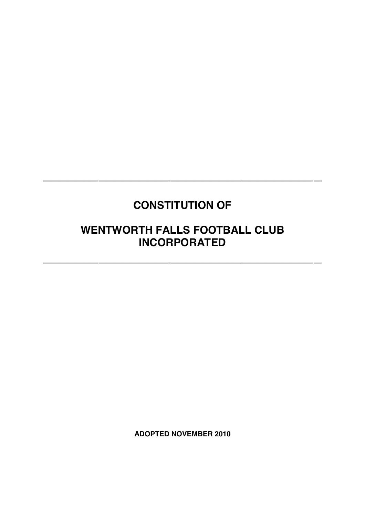# **CONSTITUTION OF**

**\_\_\_\_\_\_\_\_\_\_\_\_\_\_\_\_\_\_\_\_\_\_\_\_\_\_\_\_\_\_\_\_\_\_\_**

## **WENTWORTH FALLS FOOTBALL CLUB INCORPORATED**

**\_\_\_\_\_\_\_\_\_\_\_\_\_\_\_\_\_\_\_\_\_\_\_\_\_\_\_\_\_\_\_\_\_\_\_**

**ADOPTED NOVEMBER 2010**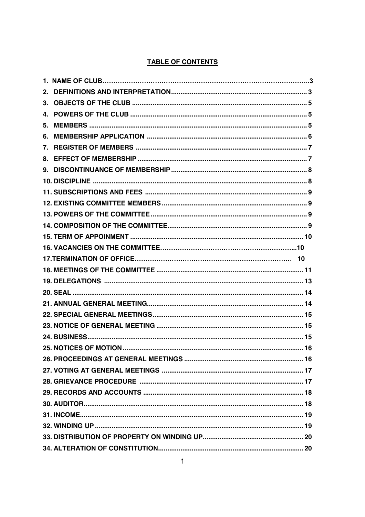## **TABLE OF CONTENTS**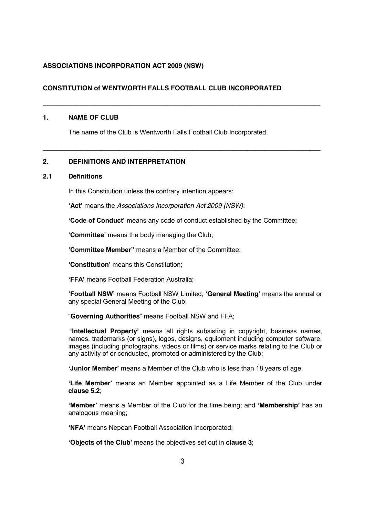## **ASSOCIATIONS INCORPORATION ACT 2009 (NSW)**

## **CONSTITUTION of WENTWORTH FALLS FOOTBALL CLUB INCORPORATED**

## **1. NAME OF CLUB**

The name of the Club is Wentworth Falls Football Club Incorporated.

**\_\_\_\_\_\_\_\_\_\_\_\_\_\_\_\_\_\_\_\_\_\_\_\_\_\_\_\_\_\_\_\_\_\_\_\_\_\_\_\_\_\_\_\_\_\_\_\_\_\_\_\_\_\_\_\_\_\_\_\_\_\_\_\_\_\_\_\_\_\_\_\_\_\_\_\_**

\_\_\_\_\_\_\_\_\_\_\_\_\_\_\_\_\_\_\_\_\_\_\_\_\_\_\_\_\_\_\_\_\_\_\_\_\_\_\_\_\_\_\_\_\_\_\_\_\_\_\_\_\_\_\_\_\_\_\_\_\_\_\_\_\_\_\_\_\_\_\_\_\_\_\_\_

## **2. DEFINITIONS AND INTERPRETATION**

## **2.1 Definitions**

In this Constitution unless the contrary intention appears:

**'Act'** means the *Associations Incorporation Act 2009 (NSW)*;

**'Code of Conduct'** means any code of conduct established by the Committee;

**'Committee'** means the body managing the Club;

**'Committee Member"** means a Member of the Committee;

**'Constitution'** means this Constitution;

**'FFA'** means Football Federation Australia;

**'Football NSW'** means Football NSW Limited; **'General Meeting'** means the annual or any special General Meeting of the Club;

"**Governing Authorities**" means Football NSW and FFA;

**'Intellectual Property'** means all rights subsisting in copyright, business names, names, trademarks (or signs), logos, designs, equipment including computer software, images (including photographs, videos or films) or service marks relating to the Club or any activity of or conducted, promoted or administered by the Club;

**'Junior Member'** means a Member of the Club who is less than 18 years of age;

**'Life Member'** means an Member appointed as a Life Member of the Club under **clause 5.2**;

**'Member'** means a Member of the Club for the time being; and **'Membership'** has an analogous meaning;

**'NFA'** means Nepean Football Association Incorporated;

**'Objects of the Club'** means the objectives set out in **clause 3**;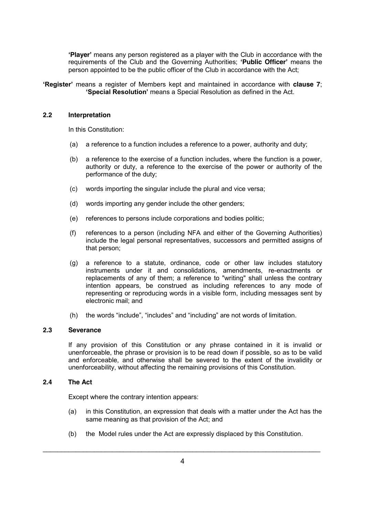**'Player'** means any person registered as a player with the Club in accordance with the requirements of the Club and the Governing Authorities; **'Public Officer'** means the person appointed to be the public officer of the Club in accordance with the Act;

**'Register'** means a register of Members kept and maintained in accordance with **clause 7**; **'Special Resolution'** means a Special Resolution as defined in the Act.

## **2.2 Interpretation**

In this Constitution:

- (a) a reference to a function includes a reference to a power, authority and duty;
- (b) a reference to the exercise of a function includes, where the function is a power, authority or duty, a reference to the exercise of the power or authority of the performance of the duty;
- (c) words importing the singular include the plural and vice versa;
- (d) words importing any gender include the other genders;
- (e) references to persons include corporations and bodies politic;
- (f) references to a person (including NFA and either of the Governing Authorities) include the legal personal representatives, successors and permitted assigns of that person;
- (g) a reference to a statute, ordinance, code or other law includes statutory instruments under it and consolidations, amendments, re-enactments or replacements of any of them; a reference to "writing" shall unless the contrary intention appears, be construed as including references to any mode of representing or reproducing words in a visible form, including messages sent by electronic mail; and
- (h) the words "include", "includes" and "including" are not words of limitation.

## **2.3 Severance**

If any provision of this Constitution or any phrase contained in it is invalid or unenforceable, the phrase or provision is to be read down if possible, so as to be valid and enforceable, and otherwise shall be severed to the extent of the invalidity or unenforceability, without affecting the remaining provisions of this Constitution.

## **2.4 The Act**

Except where the contrary intention appears:

- (a) in this Constitution, an expression that deals with a matter under the Act has the same meaning as that provision of the Act; and
- (b) the Model rules under the Act are expressly displaced by this Constitution.

\_\_\_\_\_\_\_\_\_\_\_\_\_\_\_\_\_\_\_\_\_\_\_\_\_\_\_\_\_\_\_\_\_\_\_\_\_\_\_\_\_\_\_\_\_\_\_\_\_\_\_\_\_\_\_\_\_\_\_\_\_\_\_\_\_\_\_\_\_\_\_\_\_\_\_\_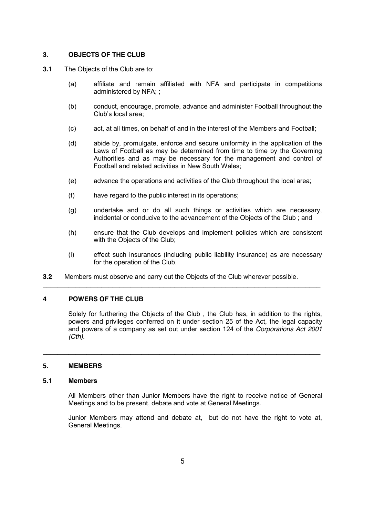## **3**. **OBJECTS OF THE CLUB**

- **3.1** The Objects of the Club are to:
	- (a) affiliate and remain affiliated with NFA and participate in competitions administered by NFA; ;
	- (b) conduct, encourage, promote, advance and administer Football throughout the Club's local area;
	- (c) act, at all times, on behalf of and in the interest of the Members and Football;
	- (d) abide by, promulgate, enforce and secure uniformity in the application of the Laws of Football as may be determined from time to time by the Governing Authorities and as may be necessary for the management and control of Football and related activities in New South Wales;
	- (e) advance the operations and activities of the Club throughout the local area;
	- (f) have regard to the public interest in its operations;
	- (g) undertake and or do all such things or activities which are necessary, incidental or conducive to the advancement of the Objects of the Club ; and
	- (h) ensure that the Club develops and implement policies which are consistent with the Objects of the Club;
	- (i) effect such insurances (including public liability insurance) as are necessary for the operation of the Club.
- **3.2** Members must observe and carry out the Objects of the Club wherever possible.

\_\_\_\_\_\_\_\_\_\_\_\_\_\_\_\_\_\_\_\_\_\_\_\_\_\_\_\_\_\_\_\_\_\_\_\_\_\_\_\_\_\_\_\_\_\_\_\_\_\_\_\_\_\_\_\_\_\_\_\_\_\_\_\_\_\_\_\_\_\_\_\_\_\_\_\_

\_\_\_\_\_\_\_\_\_\_\_\_\_\_\_\_\_\_\_\_\_\_\_\_\_\_\_\_\_\_\_\_\_\_\_\_\_\_\_\_\_\_\_\_\_\_\_\_\_\_\_\_\_\_\_\_\_\_\_\_\_\_\_\_\_\_\_\_\_\_\_\_\_\_\_\_

## **4 POWERS OF THE CLUB**

Solely for furthering the Objects of the Club , the Club has, in addition to the rights, powers and privileges conferred on it under section 25 of the Act, the legal capacity and powers of a company as set out under section 124 of the *Corporations Act 2001 (Cth)*.

## **5. MEMBERS**

#### **5.1 Members**

All Members other than Junior Members have the right to receive notice of General Meetings and to be present, debate and vote at General Meetings.

Junior Members may attend and debate at, but do not have the right to vote at, General Meetings.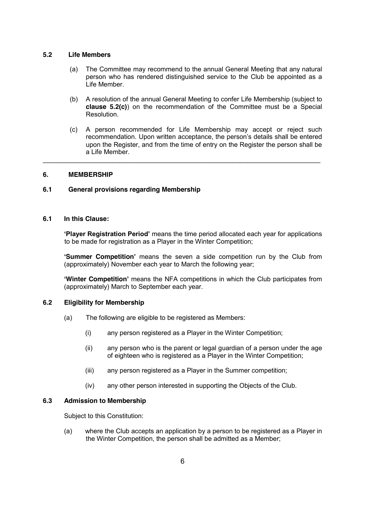## **5.2 Life Members**

- (a) The Committee may recommend to the annual General Meeting that any natural person who has rendered distinguished service to the Club be appointed as a Life Member.
- (b) A resolution of the annual General Meeting to confer Life Membership (subject to **clause 5.2(c)**) on the recommendation of the Committee must be a Special Resolution.
- (c) A person recommended for Life Membership may accept or reject such recommendation. Upon written acceptance, the person's details shall be entered upon the Register, and from the time of entry on the Register the person shall be a Life Member.

 $\mathcal{L}_\mathcal{L} = \{ \mathcal{L}_\mathcal{L} = \{ \mathcal{L}_\mathcal{L} = \{ \mathcal{L}_\mathcal{L} = \{ \mathcal{L}_\mathcal{L} = \{ \mathcal{L}_\mathcal{L} = \{ \mathcal{L}_\mathcal{L} = \{ \mathcal{L}_\mathcal{L} = \{ \mathcal{L}_\mathcal{L} = \{ \mathcal{L}_\mathcal{L} = \{ \mathcal{L}_\mathcal{L} = \{ \mathcal{L}_\mathcal{L} = \{ \mathcal{L}_\mathcal{L} = \{ \mathcal{L}_\mathcal{L} = \{ \mathcal{L}_\mathcal{$ 

## **6. MEMBERSHIP**

## **6.1 General provisions regarding Membership**

## **6.1 In this Clause:**

**'Player Registration Period'** means the time period allocated each year for applications to be made for registration as a Player in the Winter Competition;

**'Summer Competition'** means the seven a side competition run by the Club from (approximately) November each year to March the following year;

**'Winter Competition'** means the NFA competitions in which the Club participates from (approximately) March to September each year.

## **6.2 Eligibility for Membership**

- (a) The following are eligible to be registered as Members:
	- (i) any person registered as a Player in the Winter Competition;
	- (ii) any person who is the parent or legal guardian of a person under the age of eighteen who is registered as a Player in the Winter Competition;
	- (iii) any person registered as a Player in the Summer competition;
	- (iv) any other person interested in supporting the Objects of the Club.

## **6.3 Admission to Membership**

Subject to this Constitution:

(a) where the Club accepts an application by a person to be registered as a Player in the Winter Competition, the person shall be admitted as a Member;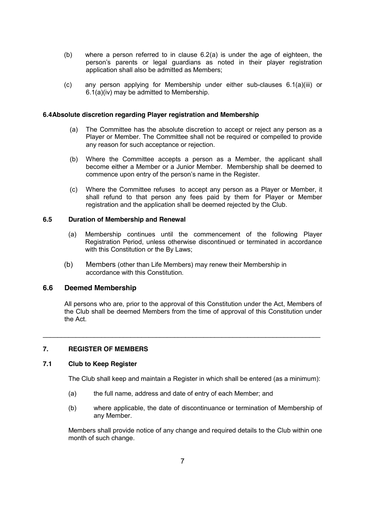- (b) where a person referred to in clause 6.2(a) is under the age of eighteen, the person's parents or legal guardians as noted in their player registration application shall also be admitted as Members;
- (c) any person applying for Membership under either sub-clauses 6.1(a)(iii) or 6.1(a)(iv) may be admitted to Membership.

### **6.4Absolute discretion regarding Player registration and Membership**

- (a) The Committee has the absolute discretion to accept or reject any person as a Player or Member. The Committee shall not be required or compelled to provide any reason for such acceptance or rejection.
- (b) Where the Committee accepts a person as a Member, the applicant shall become either a Member or a Junior Member. Membership shall be deemed to commence upon entry of the person's name in the Register.
- (c) Where the Committee refuses to accept any person as a Player or Member, it shall refund to that person any fees paid by them for Player or Member registration and the application shall be deemed rejected by the Club.

#### **6.5 Duration of Membership and Renewal**

- (a) Membership continues until the commencement of the following Player Registration Period, unless otherwise discontinued or terminated in accordance with this Constitution or the By Laws;
- (b) Members (other than Life Members) may renew their Membership in accordance with this Constitution.

## **6.6 Deemed Membership**

All persons who are, prior to the approval of this Constitution under the Act, Members of the Club shall be deemed Members from the time of approval of this Constitution under the Act.

\_\_\_\_\_\_\_\_\_\_\_\_\_\_\_\_\_\_\_\_\_\_\_\_\_\_\_\_\_\_\_\_\_\_\_\_\_\_\_\_\_\_\_\_\_\_\_\_\_\_\_\_\_\_\_\_\_\_\_\_\_\_\_\_\_\_\_\_\_\_\_\_\_\_\_\_

## **7. REGISTER OF MEMBERS**

## **7.1 Club to Keep Register**

The Club shall keep and maintain a Register in which shall be entered (as a minimum):

- (a) the full name, address and date of entry of each Member; and
- (b) where applicable, the date of discontinuance or termination of Membership of any Member.

Members shall provide notice of any change and required details to the Club within one month of such change.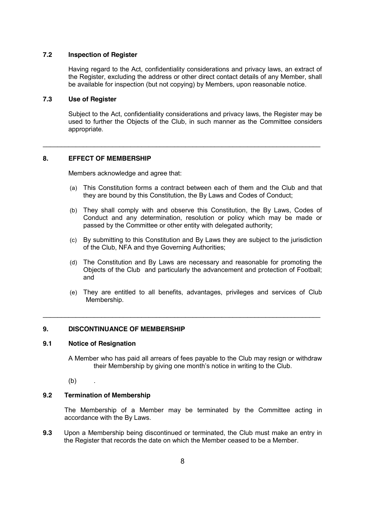## **7.2 Inspection of Register**

Having regard to the Act, confidentiality considerations and privacy laws, an extract of the Register, excluding the address or other direct contact details of any Member, shall be available for inspection (but not copying) by Members, upon reasonable notice.

### **7.3 Use of Register**

Subject to the Act, confidentiality considerations and privacy laws, the Register may be used to further the Objects of the Club, in such manner as the Committee considers appropriate.

\_\_\_\_\_\_\_\_\_\_\_\_\_\_\_\_\_\_\_\_\_\_\_\_\_\_\_\_\_\_\_\_\_\_\_\_\_\_\_\_\_\_\_\_\_\_\_\_\_\_\_\_\_\_\_\_\_\_\_\_\_\_\_\_\_\_\_\_\_\_\_\_\_\_\_\_

## **8. EFFECT OF MEMBERSHIP**

Members acknowledge and agree that:

- (a) This Constitution forms a contract between each of them and the Club and that they are bound by this Constitution, the By Laws and Codes of Conduct;
- (b) They shall comply with and observe this Constitution, the By Laws, Codes of Conduct and any determination, resolution or policy which may be made or passed by the Committee or other entity with delegated authority;
- (c) By submitting to this Constitution and By Laws they are subject to the jurisdiction of the Club, NFA and thye Governing Authorities;
- (d) The Constitution and By Laws are necessary and reasonable for promoting the Objects of the Club and particularly the advancement and protection of Football; and
- (e) They are entitled to all benefits, advantages, privileges and services of Club Membership.

\_\_\_\_\_\_\_\_\_\_\_\_\_\_\_\_\_\_\_\_\_\_\_\_\_\_\_\_\_\_\_\_\_\_\_\_\_\_\_\_\_\_\_\_\_\_\_\_\_\_\_\_\_\_\_\_\_\_\_\_\_\_\_\_\_\_\_\_\_\_\_\_\_\_\_\_

## **9. DISCONTINUANCE OF MEMBERSHIP**

#### **9.1 Notice of Resignation**

A Member who has paid all arrears of fees payable to the Club may resign or withdraw their Membership by giving one month's notice in writing to the Club.

 $(b)$ .

## **9.2 Termination of Membership**

The Membership of a Member may be terminated by the Committee acting in accordance with the By Laws.

**9.3** Upon a Membership being discontinued or terminated, the Club must make an entry in the Register that records the date on which the Member ceased to be a Member.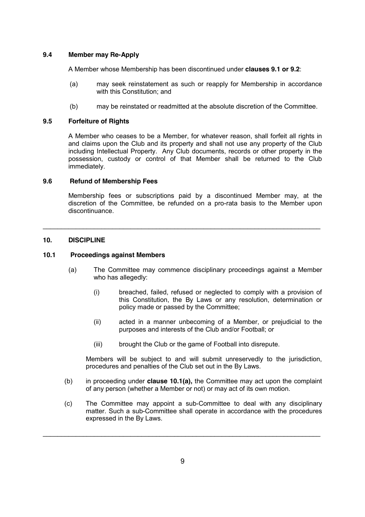## **9.4 Member may Re-Apply**

A Member whose Membership has been discontinued under **clauses 9.1 or 9.2**:

- (a) may seek reinstatement as such or reapply for Membership in accordance with this Constitution; and
- (b) may be reinstated or readmitted at the absolute discretion of the Committee.

## **9.5 Forfeiture of Rights**

A Member who ceases to be a Member, for whatever reason, shall forfeit all rights in and claims upon the Club and its property and shall not use any property of the Club including Intellectual Property. Any Club documents, records or other property in the possession, custody or control of that Member shall be returned to the Club immediately.

## **9.6 Refund of Membership Fees**

Membership fees or subscriptions paid by a discontinued Member may, at the discretion of the Committee, be refunded on a pro-rata basis to the Member upon discontinuance.

\_\_\_\_\_\_\_\_\_\_\_\_\_\_\_\_\_\_\_\_\_\_\_\_\_\_\_\_\_\_\_\_\_\_\_\_\_\_\_\_\_\_\_\_\_\_\_\_\_\_\_\_\_\_\_\_\_\_\_\_\_\_\_\_\_\_\_\_\_\_\_\_\_\_\_\_

## **10. DISCIPLINE**

#### **10.1 Proceedings against Members**

- (a) The Committee may commence disciplinary proceedings against a Member who has allegedly:
	- (i) breached, failed, refused or neglected to comply with a provision of this Constitution, the By Laws or any resolution, determination or policy made or passed by the Committee;
	- (ii) acted in a manner unbecoming of a Member, or prejudicial to the purposes and interests of the Club and/or Football; or
	- (iii) brought the Club or the game of Football into disrepute.

Members will be subject to and will submit unreservedly to the jurisdiction, procedures and penalties of the Club set out in the By Laws.

- (b) in proceeding under **clause 10.1(a),** the Committee may act upon the complaint of any person (whether a Member or not) or may act of its own motion.
- (c) The Committee may appoint a sub-Committee to deal with any disciplinary matter. Such a sub-Committee shall operate in accordance with the procedures expressed in the By Laws.

\_\_\_\_\_\_\_\_\_\_\_\_\_\_\_\_\_\_\_\_\_\_\_\_\_\_\_\_\_\_\_\_\_\_\_\_\_\_\_\_\_\_\_\_\_\_\_\_\_\_\_\_\_\_\_\_\_\_\_\_\_\_\_\_\_\_\_\_\_\_\_\_\_\_\_\_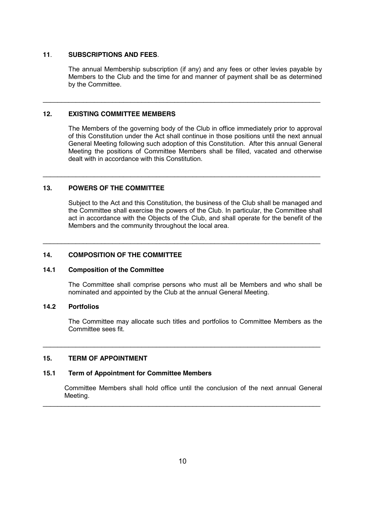#### **11**. **SUBSCRIPTIONS AND FEES***.*

The annual Membership subscription (if any) and any fees or other levies payable by Members to the Club and the time for and manner of payment shall be as determined by the Committee.

\_\_\_\_\_\_\_\_\_\_\_\_\_\_\_\_\_\_\_\_\_\_\_\_\_\_\_\_\_\_\_\_\_\_\_\_\_\_\_\_\_\_\_\_\_\_\_\_\_\_\_\_\_\_\_\_\_\_\_\_\_\_\_\_\_\_\_\_\_\_\_\_\_\_\_\_

\_\_\_\_\_\_\_\_\_\_\_\_\_\_\_\_\_\_\_\_\_\_\_\_\_\_\_\_\_\_\_\_\_\_\_\_\_\_\_\_\_\_\_\_\_\_\_\_\_\_\_\_\_\_\_\_\_\_\_\_\_\_\_\_\_\_\_\_\_\_\_\_\_\_\_\_

\_\_\_\_\_\_\_\_\_\_\_\_\_\_\_\_\_\_\_\_\_\_\_\_\_\_\_\_\_\_\_\_\_\_\_\_\_\_\_\_\_\_\_\_\_\_\_\_\_\_\_\_\_\_\_\_\_\_\_\_\_\_\_\_\_\_\_\_\_\_\_\_\_\_\_\_

#### **12. EXISTING COMMITTEE MEMBERS**

The Members of the governing body of the Club in office immediately prior to approval of this Constitution under the Act shall continue in those positions until the next annual General Meeting following such adoption of this Constitution. After this annual General Meeting the positions of Committee Members shall be filled, vacated and otherwise dealt with in accordance with this Constitution.

## **13. POWERS OF THE COMMITTEE**

Subject to the Act and this Constitution, the business of the Club shall be managed and the Committee shall exercise the powers of the Club. In particular, the Committee shall act in accordance with the Objects of the Club, and shall operate for the benefit of the Members and the community throughout the local area.

### **14. COMPOSITION OF THE COMMITTEE**

#### **14.1 Composition of the Committee**

The Committee shall comprise persons who must all be Members and who shall be nominated and appointed by the Club at the annual General Meeting.

## **14.2 Portfolios**

The Committee may allocate such titles and portfolios to Committee Members as the Committee sees fit.

\_\_\_\_\_\_\_\_\_\_\_\_\_\_\_\_\_\_\_\_\_\_\_\_\_\_\_\_\_\_\_\_\_\_\_\_\_\_\_\_\_\_\_\_\_\_\_\_\_\_\_\_\_\_\_\_\_\_\_\_\_\_\_\_\_\_\_\_\_\_\_\_\_\_\_\_

\_\_\_\_\_\_\_\_\_\_\_\_\_\_\_\_\_\_\_\_\_\_\_\_\_\_\_\_\_\_\_\_\_\_\_\_\_\_\_\_\_\_\_\_\_\_\_\_\_\_\_\_\_\_\_\_\_\_\_\_\_\_\_\_\_\_\_\_\_\_\_\_\_\_\_\_

## **15. TERM OF APPOINTMENT**

### **15.1 Term of Appointment for Committee Members**

Committee Members shall hold office until the conclusion of the next annual General Meeting.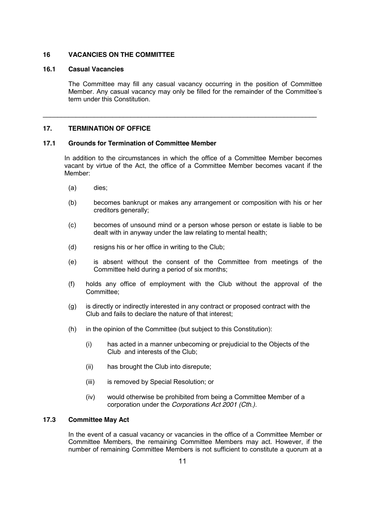## **16 VACANCIES ON THE COMMITTEE**

### **16.1 Casual Vacancies**

The Committee may fill any casual vacancy occurring in the position of Committee Member. Any casual vacancy may only be filled for the remainder of the Committee's term under this Constitution.

\_\_\_\_\_\_\_\_\_\_\_\_\_\_\_\_\_\_\_\_\_\_\_\_\_\_\_\_\_\_\_\_\_\_\_\_\_\_\_\_\_\_\_\_\_\_\_\_\_\_\_\_\_\_\_\_\_\_\_\_\_\_\_\_\_\_\_\_\_\_\_\_\_\_\_

## **17. TERMINATION OF OFFICE**

#### **17.1 Grounds for Termination of Committee Member**

In addition to the circumstances in which the office of a Committee Member becomes vacant by virtue of the Act, the office of a Committee Member becomes vacant if the Member:

- (a) dies;
- (b) becomes bankrupt or makes any arrangement or composition with his or her creditors generally;
- (c) becomes of unsound mind or a person whose person or estate is liable to be dealt with in anyway under the law relating to mental health;
- (d) resigns his or her office in writing to the Club;
- (e) is absent without the consent of the Committee from meetings of the Committee held during a period of six months;
- (f) holds any office of employment with the Club without the approval of the Committee;
- (g) is directly or indirectly interested in any contract or proposed contract with the Club and fails to declare the nature of that interest;
- (h) in the opinion of the Committee (but subject to this Constitution):
	- (i) has acted in a manner unbecoming or prejudicial to the Objects of the Club and interests of the Club;
	- (ii) has brought the Club into disrepute;
	- (iii) is removed by Special Resolution; or
	- (iv) would otherwise be prohibited from being a Committee Member of a corporation under the *Corporations Act 2001 (Cth.)*.

## **17.3 Committee May Act**

In the event of a casual vacancy or vacancies in the office of a Committee Member or Committee Members, the remaining Committee Members may act. However, if the number of remaining Committee Members is not sufficient to constitute a quorum at a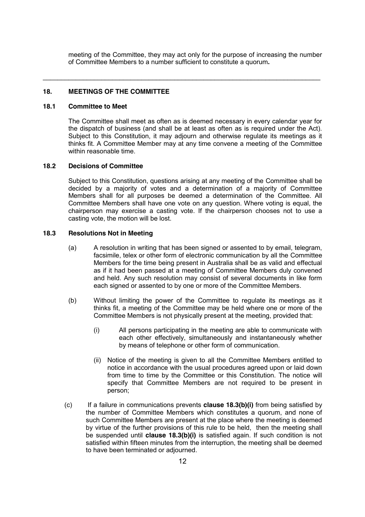meeting of the Committee, they may act only for the purpose of increasing the number of Committee Members to a number sufficient to constitute a quorum**.** 

\_\_\_\_\_\_\_\_\_\_\_\_\_\_\_\_\_\_\_\_\_\_\_\_\_\_\_\_\_\_\_\_\_\_\_\_\_\_\_\_\_\_\_\_\_\_\_\_\_\_\_\_\_\_\_\_\_\_\_\_\_\_\_\_\_\_\_\_\_\_\_\_\_\_\_\_

### **18. MEETINGS OF THE COMMITTEE**

#### **18.1 Committee to Meet**

The Committee shall meet as often as is deemed necessary in every calendar year for the dispatch of business (and shall be at least as often as is required under the Act). Subject to this Constitution, it may adjourn and otherwise regulate its meetings as it thinks fit. A Committee Member may at any time convene a meeting of the Committee within reasonable time.

#### **18.2 Decisions of Committee**

Subject to this Constitution, questions arising at any meeting of the Committee shall be decided by a majority of votes and a determination of a majority of Committee Members shall for all purposes be deemed a determination of the Committee. All Committee Members shall have one vote on any question. Where voting is equal, the chairperson may exercise a casting vote. If the chairperson chooses not to use a casting vote, the motion will be lost.

#### **18.3 Resolutions Not in Meeting**

- (a) A resolution in writing that has been signed or assented to by email, telegram, facsimile, telex or other form of electronic communication by all the Committee Members for the time being present in Australia shall be as valid and effectual as if it had been passed at a meeting of Committee Members duly convened and held. Any such resolution may consist of several documents in like form each signed or assented to by one or more of the Committee Members.
- (b) Without limiting the power of the Committee to regulate its meetings as it thinks fit, a meeting of the Committee may be held where one or more of the Committee Members is not physically present at the meeting, provided that:
	- (i) All persons participating in the meeting are able to communicate with each other effectively, simultaneously and instantaneously whether by means of telephone or other form of communication.
	- (ii) Notice of the meeting is given to all the Committee Members entitled to notice in accordance with the usual procedures agreed upon or laid down from time to time by the Committee or this Constitution. The notice will specify that Committee Members are not required to be present in person;
- (c) If a failure in communications prevents **clause 18.3(b)(i)** from being satisfied by the number of Committee Members which constitutes a quorum, and none of such Committee Members are present at the place where the meeting is deemed by virtue of the further provisions of this rule to be held, then the meeting shall be suspended until **clause 18.3(b)(i)** is satisfied again. If such condition is not satisfied within fifteen minutes from the interruption, the meeting shall be deemed to have been terminated or adjourned.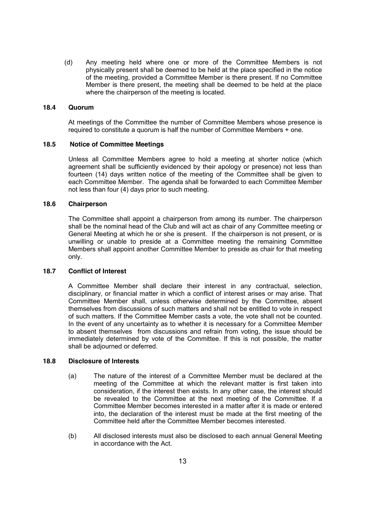(d) Any meeting held where one or more of the Committee Members is not physically present shall be deemed to be held at the place specified in the notice of the meeting, provided a Committee Member is there present. If no Committee Member is there present, the meeting shall be deemed to be held at the place where the chairperson of the meeting is located.

#### **18.4 Quorum**

At meetings of the Committee the number of Committee Members whose presence is required to constitute a quorum is half the number of Committee Members + one.

#### **18.5 Notice of Committee Meetings**

Unless all Committee Members agree to hold a meeting at shorter notice (which agreement shall be sufficiently evidenced by their apology or presence) not less than fourteen (14) days written notice of the meeting of the Committee shall be given to each Committee Member. The agenda shall be forwarded to each Committee Member not less than four (4) days prior to such meeting.

### **18.6 Chairperson**

The Committee shall appoint a chairperson from among its number. The chairperson shall be the nominal head of the Club and will act as chair of any Committee meeting or General Meeting at which he or she is present. If the chairperson is not present, or is unwilling or unable to preside at a Committee meeting the remaining Committee Members shall appoint another Committee Member to preside as chair for that meeting only.

## **18.7 Conflict of Interest**

A Committee Member shall declare their interest in any contractual, selection, disciplinary, or financial matter in which a conflict of interest arises or may arise. That Committee Member shall, unless otherwise determined by the Committee, absent themselves from discussions of such matters and shall not be entitled to vote in respect of such matters. If the Committee Member casts a vote, the vote shall not be counted. In the event of any uncertainty as to whether it is necessary for a Committee Member to absent themselves from discussions and refrain from voting, the issue should be immediately determined by vote of the Committee. If this is not possible, the matter shall be adjourned or deferred.

#### **18.8 Disclosure of Interests**

- (a) The nature of the interest of a Committee Member must be declared at the meeting of the Committee at which the relevant matter is first taken into consideration, if the interest then exists. In any other case, the interest should be revealed to the Committee at the next meeting of the Committee. If a Committee Member becomes interested in a matter after it is made or entered into, the declaration of the interest must be made at the first meeting of the Committee held after the Committee Member becomes interested.
- (b) All disclosed interests must also be disclosed to each annual General Meeting in accordance with the Act.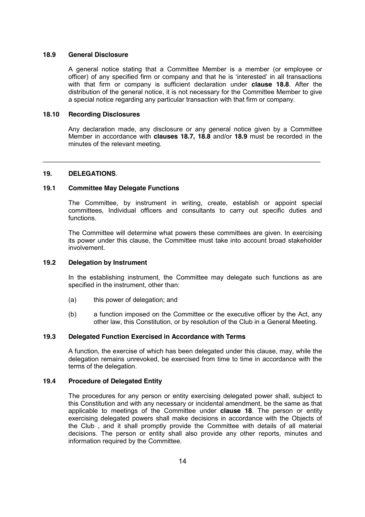#### **18.9 General Disclosure**

A general notice stating that a Committee Member is a member (or employee or officer) of any specified firm or company and that he is 'interested' in all transactions with that firm or company is sufficient declaration under **clause 18.8**. After the distribution of the general notice, it is not necessary for the Committee Member to give a special notice regarding any particular transaction with that firm or company.

#### **18.10 Recording Disclosures**

Any declaration made, any disclosure or any general notice given by a Committee Member in accordance with **clauses 18.7, 18.8** and/or **18.9** must be recorded in the minutes of the relevant meeting.

\_\_\_\_\_\_\_\_\_\_\_\_\_\_\_\_\_\_\_\_\_\_\_\_\_\_\_\_\_\_\_\_\_\_\_\_\_\_\_\_\_\_\_\_\_\_\_\_\_\_\_\_\_\_\_\_\_\_\_\_\_\_\_\_\_\_\_\_\_\_\_\_\_\_\_\_

#### **19. DELEGATIONS**.

#### **19.1 Committee May Delegate Functions**

The Committee, by instrument in writing, create, establish or appoint special committees, Individual officers and consultants to carry out specific duties and functions.

The Committee will determine what powers these committees are given. In exercising its power under this clause, the Committee must take into account broad stakeholder involvement.

#### **19.2 Delegation by Instrument**

In the establishing instrument, the Committee may delegate such functions as are specified in the instrument, other than:

- (a) this power of delegation; and
- (b) a function imposed on the Committee or the executive officer by the Act, any other law, this Constitution, or by resolution of the Club in a General Meeting.

#### **19.3 Delegated Function Exercised in Accordance with Terms**

A function, the exercise of which has been delegated under this clause, may, while the delegation remains unrevoked, be exercised from time to time in accordance with the terms of the delegation.

#### **19.4 Procedure of Delegated Entity**

The procedures for any person or entity exercising delegated power shall, subject to this Constitution and with any necessary or incidental amendment, be the same as that applicable to meetings of the Committee under **clause 18**. The person or entity exercising delegated powers shall make decisions in accordance with the Objects of the Club , and it shall promptly provide the Committee with details of all material decisions. The person or entity shall also provide any other reports, minutes and information required by the Committee.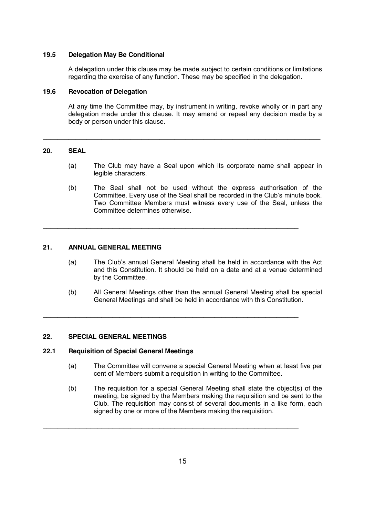#### **19.5 Delegation May Be Conditional**

A delegation under this clause may be made subject to certain conditions or limitations regarding the exercise of any function. These may be specified in the delegation.

#### **19.6 Revocation of Delegation**

At any time the Committee may, by instrument in writing, revoke wholly or in part any delegation made under this clause. It may amend or repeal any decision made by a body or person under this clause.

\_\_\_\_\_\_\_\_\_\_\_\_\_\_\_\_\_\_\_\_\_\_\_\_\_\_\_\_\_\_\_\_\_\_\_\_\_\_\_\_\_\_\_\_\_\_\_\_\_\_\_\_\_\_\_\_\_\_\_\_\_\_\_\_\_\_\_\_\_\_\_\_\_\_\_\_

\_\_\_\_\_\_\_\_\_\_\_\_\_\_\_\_\_\_\_\_\_\_\_\_\_\_\_\_\_\_\_\_\_\_\_\_\_\_\_\_\_\_\_\_\_\_\_\_\_\_\_\_\_\_\_\_\_\_\_\_\_\_\_\_\_\_\_\_\_\_

\_\_\_\_\_\_\_\_\_\_\_\_\_\_\_\_\_\_\_\_\_\_\_\_\_\_\_\_\_\_\_\_\_\_\_\_\_\_\_\_\_\_\_\_\_\_\_\_\_\_\_\_\_\_\_\_\_\_\_\_\_\_\_\_\_\_\_\_\_\_

## **20. SEAL**

- (a) The Club may have a Seal upon which its corporate name shall appear in legible characters.
- (b) The Seal shall not be used without the express authorisation of the Committee. Every use of the Seal shall be recorded in the Club's minute book. Two Committee Members must witness every use of the Seal, unless the Committee determines otherwise.

## **21. ANNUAL GENERAL MEETING**

- (a) The Club's annual General Meeting shall be held in accordance with the Act and this Constitution. It should be held on a date and at a venue determined by the Committee.
- (b) All General Meetings other than the annual General Meeting shall be special General Meetings and shall be held in accordance with this Constitution.

#### **22. SPECIAL GENERAL MEETINGS**

#### **22.1 Requisition of Special General Meetings**

- (a) The Committee will convene a special General Meeting when at least five per cent of Members submit a requisition in writing to the Committee.
- (b) The requisition for a special General Meeting shall state the object(s) of the meeting, be signed by the Members making the requisition and be sent to the Club. The requisition may consist of several documents in a like form, each signed by one or more of the Members making the requisition.

\_\_\_\_\_\_\_\_\_\_\_\_\_\_\_\_\_\_\_\_\_\_\_\_\_\_\_\_\_\_\_\_\_\_\_\_\_\_\_\_\_\_\_\_\_\_\_\_\_\_\_\_\_\_\_\_\_\_\_\_\_\_\_\_\_\_\_\_\_\_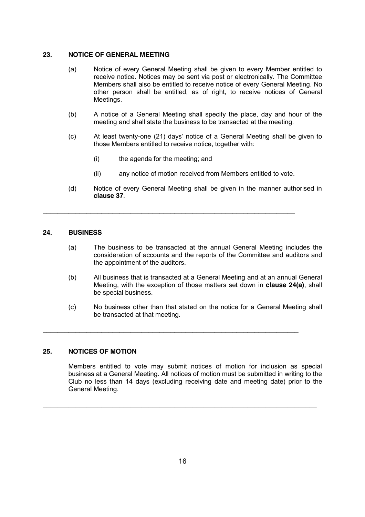## **23. NOTICE OF GENERAL MEETING**

- (a) Notice of every General Meeting shall be given to every Member entitled to receive notice. Notices may be sent via post or electronically. The Committee Members shall also be entitled to receive notice of every General Meeting. No other person shall be entitled, as of right, to receive notices of General Meetings.
- (b) A notice of a General Meeting shall specify the place, day and hour of the meeting and shall state the business to be transacted at the meeting.
- (c) At least twenty-one (21) days' notice of a General Meeting shall be given to those Members entitled to receive notice, together with:
	- (i) the agenda for the meeting; and

\_\_\_\_\_\_\_\_\_\_\_\_\_\_\_\_\_\_\_\_\_\_\_\_\_\_\_\_\_\_\_\_\_\_\_\_\_\_\_\_\_\_\_\_\_\_\_\_\_\_\_\_\_\_\_\_\_\_\_\_\_\_\_\_\_\_\_\_\_

\_\_\_\_\_\_\_\_\_\_\_\_\_\_\_\_\_\_\_\_\_\_\_\_\_\_\_\_\_\_\_\_\_\_\_\_\_\_\_\_\_\_\_\_\_\_\_\_\_\_\_\_\_\_\_\_\_\_\_\_\_\_\_\_\_\_\_\_\_\_

- (ii) any notice of motion received from Members entitled to vote.
- (d) Notice of every General Meeting shall be given in the manner authorised in **clause 37**.

## **24. BUSINESS**

- (a) The business to be transacted at the annual General Meeting includes the consideration of accounts and the reports of the Committee and auditors and the appointment of the auditors.
- (b) All business that is transacted at a General Meeting and at an annual General Meeting, with the exception of those matters set down in **clause 24(a)**, shall be special business.
- (c) No business other than that stated on the notice for a General Meeting shall be transacted at that meeting.

## **25. NOTICES OF MOTION**

Members entitled to vote may submit notices of motion for inclusion as special business at a General Meeting. All notices of motion must be submitted in writing to the Club no less than 14 days (excluding receiving date and meeting date) prior to the General Meeting.

\_\_\_\_\_\_\_\_\_\_\_\_\_\_\_\_\_\_\_\_\_\_\_\_\_\_\_\_\_\_\_\_\_\_\_\_\_\_\_\_\_\_\_\_\_\_\_\_\_\_\_\_\_\_\_\_\_\_\_\_\_\_\_\_\_\_\_\_\_\_\_\_\_\_\_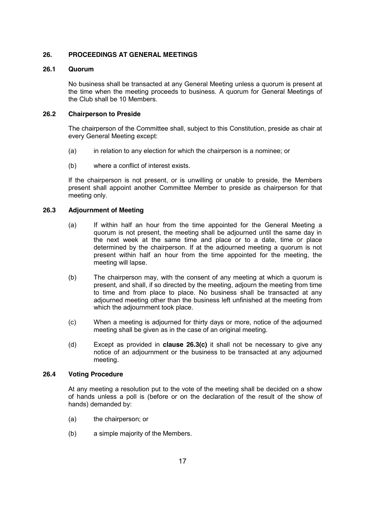## **26. PROCEEDINGS AT GENERAL MEETINGS**

### **26.1 Quorum**

No business shall be transacted at any General Meeting unless a quorum is present at the time when the meeting proceeds to business. A quorum for General Meetings of the Club shall be 10 Members.

## **26.2 Chairperson to Preside**

The chairperson of the Committee shall, subject to this Constitution, preside as chair at every General Meeting except:

- (a) in relation to any election for which the chairperson is a nominee; or
- (b) where a conflict of interest exists.

If the chairperson is not present, or is unwilling or unable to preside, the Members present shall appoint another Committee Member to preside as chairperson for that meeting only.

## **26.3 Adjournment of Meeting**

- (a) If within half an hour from the time appointed for the General Meeting a quorum is not present, the meeting shall be adjourned until the same day in the next week at the same time and place or to a date, time or place determined by the chairperson. If at the adjourned meeting a quorum is not present within half an hour from the time appointed for the meeting, the meeting will lapse.
- (b) The chairperson may, with the consent of any meeting at which a quorum is present, and shall, if so directed by the meeting, adjourn the meeting from time to time and from place to place. No business shall be transacted at any adjourned meeting other than the business left unfinished at the meeting from which the adjournment took place.
- (c) When a meeting is adjourned for thirty days or more, notice of the adjourned meeting shall be given as in the case of an original meeting.
- (d) Except as provided in **clause 26.3(c)** it shall not be necessary to give any notice of an adjournment or the business to be transacted at any adjourned meeting.

## **26.4 Voting Procedure**

At any meeting a resolution put to the vote of the meeting shall be decided on a show of hands unless a poll is (before or on the declaration of the result of the show of hands) demanded by:

- (a) the chairperson; or
- (b) a simple majority of the Members.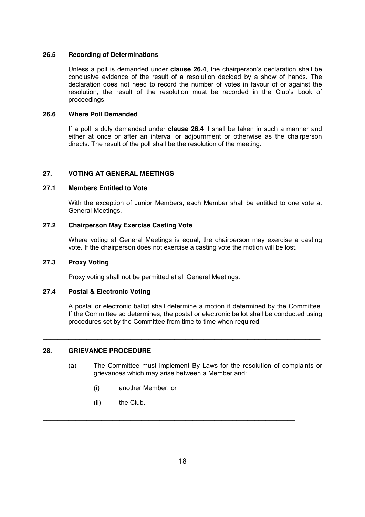#### **26.5 Recording of Determinations**

Unless a poll is demanded under **clause 26.4**, the chairperson's declaration shall be conclusive evidence of the result of a resolution decided by a show of hands. The declaration does not need to record the number of votes in favour of or against the resolution; the result of the resolution must be recorded in the Club's book of proceedings.

#### **26.6 Where Poll Demanded**

If a poll is duly demanded under **clause 26.4** it shall be taken in such a manner and either at once or after an interval or adjournment or otherwise as the chairperson directs. The result of the poll shall be the resolution of the meeting.

\_\_\_\_\_\_\_\_\_\_\_\_\_\_\_\_\_\_\_\_\_\_\_\_\_\_\_\_\_\_\_\_\_\_\_\_\_\_\_\_\_\_\_\_\_\_\_\_\_\_\_\_\_\_\_\_\_\_\_\_\_\_\_\_\_\_\_\_\_\_\_\_\_\_\_\_

## **27. VOTING AT GENERAL MEETINGS**

#### **27.1 Members Entitled to Vote**

With the exception of Junior Members, each Member shall be entitled to one vote at General Meetings.

## **27.2 Chairperson May Exercise Casting Vote**

Where voting at General Meetings is equal, the chairperson may exercise a casting vote. If the chairperson does not exercise a casting vote the motion will be lost.

#### **27.3 Proxy Voting**

Proxy voting shall not be permitted at all General Meetings.

#### **27.4 Postal & Electronic Voting**

A postal or electronic ballot shall determine a motion if determined by the Committee. If the Committee so determines, the postal or electronic ballot shall be conducted using procedures set by the Committee from time to time when required.

\_\_\_\_\_\_\_\_\_\_\_\_\_\_\_\_\_\_\_\_\_\_\_\_\_\_\_\_\_\_\_\_\_\_\_\_\_\_\_\_\_\_\_\_\_\_\_\_\_\_\_\_\_\_\_\_\_\_\_\_\_\_\_\_\_\_\_\_\_\_\_\_\_\_\_\_

#### **28. GRIEVANCE PROCEDURE**

- (a) The Committee must implement By Laws for the resolution of complaints or grievances which may arise between a Member and:
	- (i) another Member; or
	- (ii) the Club.

\_\_\_\_\_\_\_\_\_\_\_\_\_\_\_\_\_\_\_\_\_\_\_\_\_\_\_\_\_\_\_\_\_\_\_\_\_\_\_\_\_\_\_\_\_\_\_\_\_\_\_\_\_\_\_\_\_\_\_\_\_\_\_\_\_\_\_\_\_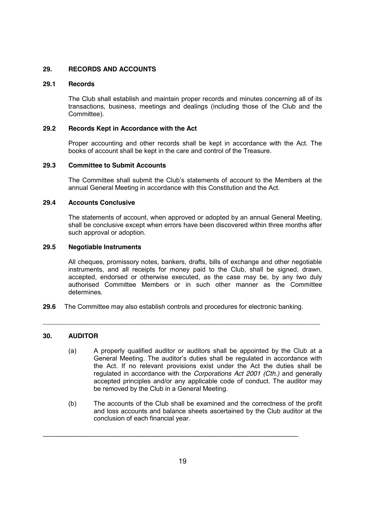## **29. RECORDS AND ACCOUNTS**

### **29.1 Records**

The Club shall establish and maintain proper records and minutes concerning all of its transactions, business, meetings and dealings (including those of the Club and the Committee).

#### **29.2 Records Kept in Accordance with the Act**

Proper accounting and other records shall be kept in accordance with the Act. The books of account shall be kept in the care and control of the Treasure.

### **29.3 Committee to Submit Accounts**

The Committee shall submit the Club's statements of account to the Members at the annual General Meeting in accordance with this Constitution and the Act.

#### **29.4 Accounts Conclusive**

The statements of account, when approved or adopted by an annual General Meeting, shall be conclusive except when errors have been discovered within three months after such approval or adoption.

## **29.5 Negotiable Instruments**

All cheques, promissory notes, bankers, drafts, bills of exchange and other negotiable instruments, and all receipts for money paid to the Club, shall be signed, drawn, accepted, endorsed or otherwise executed, as the case may be, by any two duly authorised Committee Members or in such other manner as the Committee determines.

**29.6** The Committee may also establish controls and procedures for electronic banking.

*\_\_\_\_\_\_\_\_\_\_\_\_\_\_\_\_\_\_\_\_\_\_\_\_\_\_\_\_\_\_\_\_\_\_\_\_\_\_\_\_\_\_\_\_\_\_\_\_\_\_\_\_\_\_\_\_\_\_\_\_\_\_\_\_\_\_\_\_\_\_\_\_\_\_\_\_*

## **30. AUDITOR**

- (a) A properly qualified auditor or auditors shall be appointed by the Club at a General Meeting. The auditor's duties shall be regulated in accordance with the Act. If no relevant provisions exist under the Act the duties shall be regulated in accordance with the *Corporations Act 2001 (Cth.)* and generally accepted principles and/or any applicable code of conduct. The auditor may be removed by the Club in a General Meeting.
- (b) The accounts of the Club shall be examined and the correctness of the profit and loss accounts and balance sheets ascertained by the Club auditor at the conclusion of each financial year.

\_\_\_\_\_\_\_\_\_\_\_\_\_\_\_\_\_\_\_\_\_\_\_\_\_\_\_\_\_\_\_\_\_\_\_\_\_\_\_\_\_\_\_\_\_\_\_\_\_\_\_\_\_\_\_\_\_\_\_\_\_\_\_\_\_\_\_\_\_\_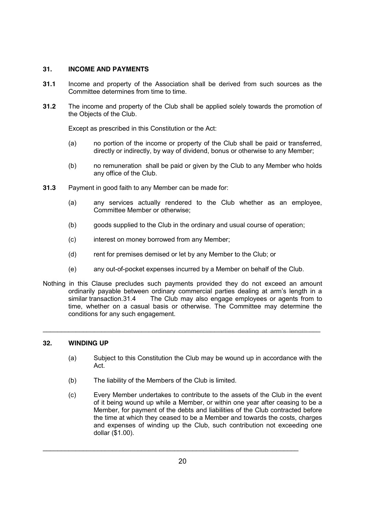## **31. INCOME AND PAYMENTS**

- **31.1** Income and property of the Association shall be derived from such sources as the Committee determines from time to time.
- **31.2** The income and property of the Club shall be applied solely towards the promotion of the Objects of the Club.

Except as prescribed in this Constitution or the Act:

- (a) no portion of the income or property of the Club shall be paid or transferred, directly or indirectly, by way of dividend, bonus or otherwise to any Member;
- (b) no remuneration shall be paid or given by the Club to any Member who holds any office of the Club.
- **31.3** Payment in good faith to any Member can be made for:
	- (a) any services actually rendered to the Club whether as an employee, Committee Member or otherwise;
	- (b) goods supplied to the Club in the ordinary and usual course of operation;
	- (c) interest on money borrowed from any Member;
	- (d) rent for premises demised or let by any Member to the Club; or
	- (e) any out-of-pocket expenses incurred by a Member on behalf of the Club.
- Nothing in this Clause precludes such payments provided they do not exceed an amount ordinarily payable between ordinary commercial parties dealing at arm's length in a similar transaction.31.4 The Club may also engage employees or agents from to time, whether on a casual basis or otherwise. The Committee may determine the conditions for any such engagement.

\_\_\_\_\_\_\_\_\_\_\_\_\_\_\_\_\_\_\_\_\_\_\_\_\_\_\_\_\_\_\_\_\_\_\_\_\_\_\_\_\_\_\_\_\_\_\_\_\_\_\_\_\_\_\_\_\_\_\_\_\_\_\_\_\_\_\_\_\_\_\_\_\_\_\_\_

## **32. WINDING UP**

- (a) Subject to this Constitution the Club may be wound up in accordance with the Act.
- (b) The liability of the Members of the Club is limited.
- (c) Every Member undertakes to contribute to the assets of the Club in the event of it being wound up while a Member, or within one year after ceasing to be a Member, for payment of the debts and liabilities of the Club contracted before the time at which they ceased to be a Member and towards the costs, charges and expenses of winding up the Club, such contribution not exceeding one dollar (\$1.00).

\_\_\_\_\_\_\_\_\_\_\_\_\_\_\_\_\_\_\_\_\_\_\_\_\_\_\_\_\_\_\_\_\_\_\_\_\_\_\_\_\_\_\_\_\_\_\_\_\_\_\_\_\_\_\_\_\_\_\_\_\_\_\_\_\_\_\_\_\_\_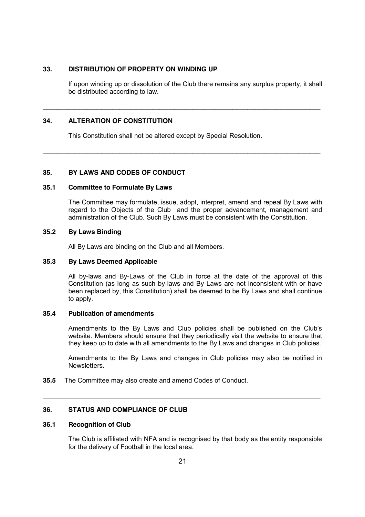## **33. DISTRIBUTION OF PROPERTY ON WINDING UP**

If upon winding up or dissolution of the Club there remains any surplus property, it shall be distributed according to law.

\_\_\_\_\_\_\_\_\_\_\_\_\_\_\_\_\_\_\_\_\_\_\_\_\_\_\_\_\_\_\_\_\_\_\_\_\_\_\_\_\_\_\_\_\_\_\_\_\_\_\_\_\_\_\_\_\_\_\_\_\_\_\_\_\_\_\_\_\_\_\_\_\_\_\_\_

\_\_\_\_\_\_\_\_\_\_\_\_\_\_\_\_\_\_\_\_\_\_\_\_\_\_\_\_\_\_\_\_\_\_\_\_\_\_\_\_\_\_\_\_\_\_\_\_\_\_\_\_\_\_\_\_\_\_\_\_\_\_\_\_\_\_\_\_\_\_\_\_\_\_\_\_

#### **34. ALTERATION OF CONSTITUTION**

This Constitution shall not be altered except by Special Resolution.

#### **35. BY LAWS AND CODES OF CONDUCT**

#### **35.1 Committee to Formulate By Laws**

The Committee may formulate, issue, adopt, interpret, amend and repeal By Laws with regard to the Objects of the Club and the proper advancement, management and administration of the Club. Such By Laws must be consistent with the Constitution.

## **35.2 By Laws Binding**

All By Laws are binding on the Club and all Members.

#### **35.3 By Laws Deemed Applicable**

All by-laws and By-Laws of the Club in force at the date of the approval of this Constitution (as long as such by-laws and By Laws are not inconsistent with or have been replaced by, this Constitution) shall be deemed to be By Laws and shall continue to apply.

## **35.4 Publication of amendments**

Amendments to the By Laws and Club policies shall be published on the Club's website. Members should ensure that they periodically visit the website to ensure that they keep up to date with all amendments to the By Laws and changes in Club policies.

Amendments to the By Laws and changes in Club policies may also be notified in Newsletters.

**35.5** The Committee may also create and amend Codes of Conduct.

### **36. STATUS AND COMPLIANCE OF CLUB**

#### **36.1 Recognition of Club**

The Club is affiliated with NFA and is recognised by that body as the entity responsible for the delivery of Football in the local area.

\_\_\_\_\_\_\_\_\_\_\_\_\_\_\_\_\_\_\_\_\_\_\_\_\_\_\_\_\_\_\_\_\_\_\_\_\_\_\_\_\_\_\_\_\_\_\_\_\_\_\_\_\_\_\_\_\_\_\_\_\_\_\_\_\_\_\_\_\_\_\_\_\_\_\_\_